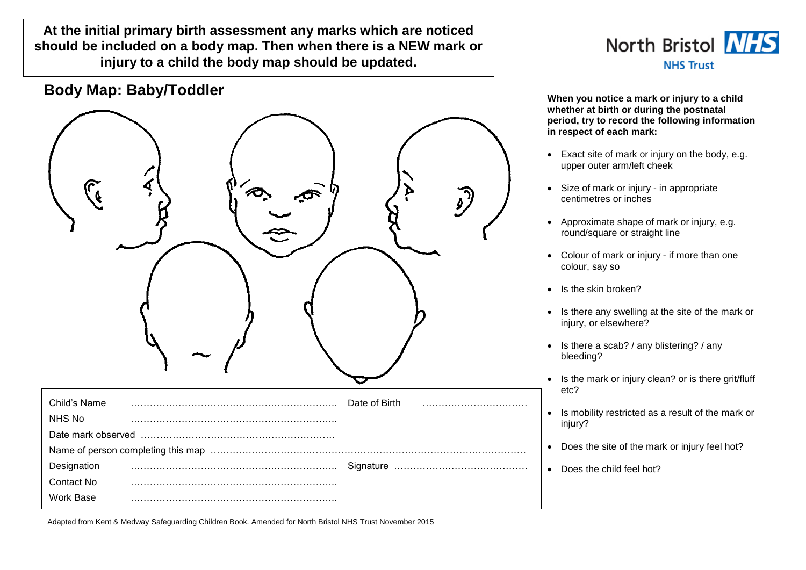**At the initial primary birth assessment any marks which are noticed should be included on a body map. Then when there is a NEW mark or injury to a child the body map should be updated.**

## **Body Map: Baby/Toddler When you notice a mark or injury to a child**

| $\int_{\mathbf{e}}$ | $\infty$ | $\sum_{i=1}^{n}$<br>$\mathcal{L}$ |
|---------------------|----------|-----------------------------------|
| Child's Name        |          | Date of Birth                     |
| NHS No              |          |                                   |
|                     |          |                                   |
|                     |          |                                   |
| Designation         |          |                                   |
| Contact No          |          |                                   |
| Work Base           |          |                                   |



**whether at birth or during the postnatal period, try to record the following information in respect of each mark:**

- Exact site of mark or injury on the body, e.g. upper outer arm/left cheek
- Size of mark or injury in appropriate centimetres or inches
- Approximate shape of mark or injury, e.g. round/square or straight line
- Colour of mark or injury if more than one colour, say so
- Is the skin broken?
- Is there any swelling at the site of the mark or injury, or elsewhere?
- Is there a scab? / any blistering? / any bleeding?
- Is the mark or injury clean? or is there grit/fluff etc?
- Is mobility restricted as a result of the mark or injury?
- Does the site of the mark or injury feel hot?
- . Does the child feel hot?

Adapted from Kent & Medway Safeguarding Children Book. Amended for North Bristol NHS Trust November 2015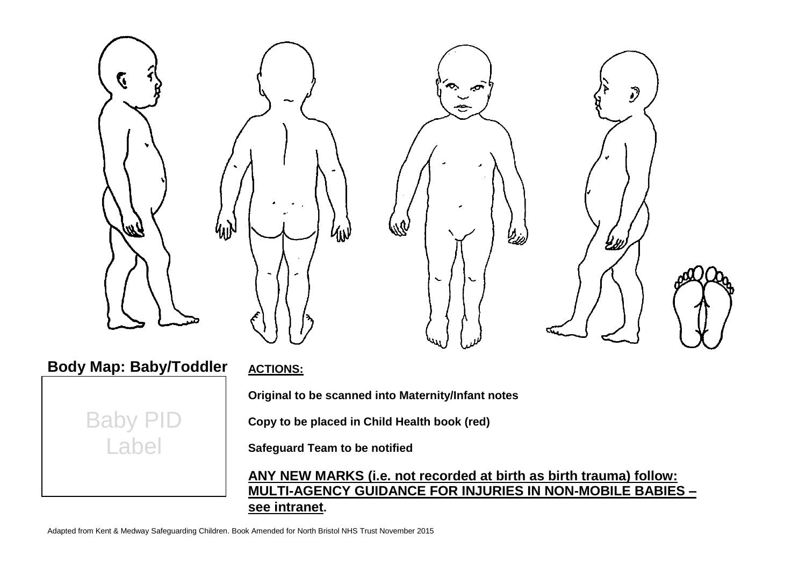

**Safeguard Team to be notified**

**ANY NEW MARKS (i.e. not recorded at birth as birth trauma) follow: MULTI-AGENCY GUIDANCE FOR INJURIES IN NON-MOBILE BABIES – see intranet.**